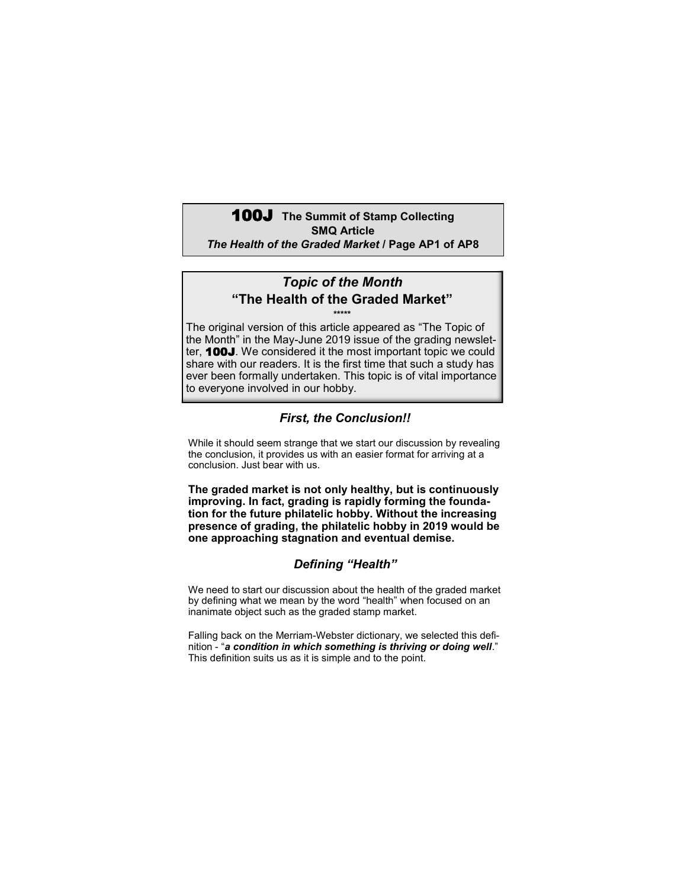## **100J** The Summit of Stamp Collecting **SMQ Article** *The Health of the Graded Market* **/ Page AP1 of AP8**

### *Topic of the Month* **"The Health of the Graded Market" \*\*\*\*\***

The original version of this article appeared as "The Topic of the Month" in the May-June 2019 issue of the grading newsletter, 100J. We considered it the most important topic we could share with our readers. It is the first time that such a study has ever been formally undertaken. This topic is of vital importance to everyone involved in our hobby.

## *First, the Conclusion!!*

While it should seem strange that we start our discussion by revealing the conclusion, it provides us with an easier format for arriving at a conclusion. Just bear with us.

**The graded market is not only healthy, but is continuously improving. In fact, grading is rapidly forming the foundation for the future philatelic hobby. Without the increasing presence of grading, the philatelic hobby in 2019 would be one approaching stagnation and eventual demise.**

## *Defining "Health"*

We need to start our discussion about the health of the graded market by defining what we mean by the word "health" when focused on an inanimate object such as the graded stamp market.

Falling back on the Merriam-Webster dictionary, we selected this definition - "*a condition in which something is thriving or doing well*." This definition suits us as it is simple and to the point.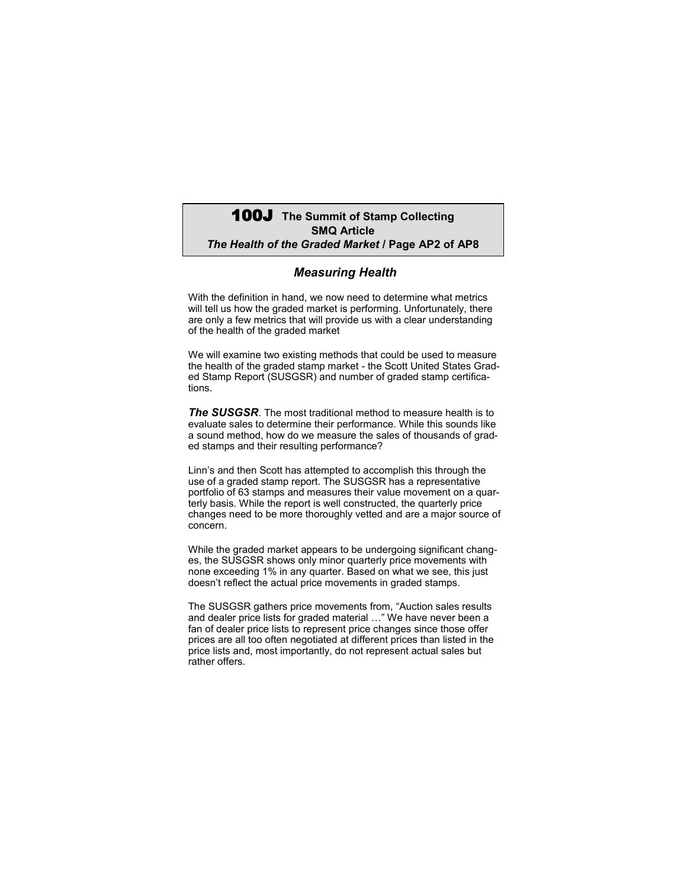## 100J **The Summit of Stamp Collecting SMQ Article** *The Health of the Graded Market* **/ Page AP2 of AP8**

#### *Measuring Health*

With the definition in hand, we now need to determine what metrics will tell us how the graded market is performing. Unfortunately, there are only a few metrics that will provide us with a clear understanding of the health of the graded market

We will examine two existing methods that could be used to measure the health of the graded stamp market - the Scott United States Graded Stamp Report (SUSGSR) and number of graded stamp certifications.

*The SUSGSR*. The most traditional method to measure health is to evaluate sales to determine their performance. While this sounds like a sound method, how do we measure the sales of thousands of graded stamps and their resulting performance?

Linn's and then Scott has attempted to accomplish this through the use of a graded stamp report. The SUSGSR has a representative portfolio of 63 stamps and measures their value movement on a quarterly basis. While the report is well constructed, the quarterly price changes need to be more thoroughly vetted and are a major source of concern.

While the graded market appears to be undergoing significant changes, the SUSGSR shows only minor quarterly price movements with none exceeding 1% in any quarter. Based on what we see, this just doesn't reflect the actual price movements in graded stamps.

The SUSGSR gathers price movements from, "Auction sales results and dealer price lists for graded material …" We have never been a fan of dealer price lists to represent price changes since those offer prices are all too often negotiated at different prices than listed in the price lists and, most importantly, do not represent actual sales but rather offers.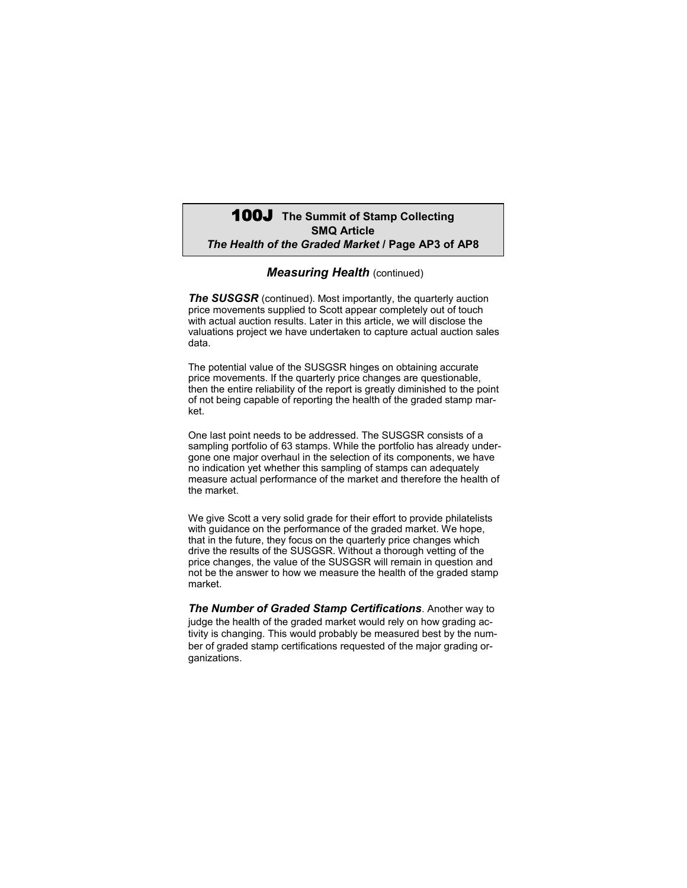## 100J **The Summit of Stamp Collecting SMQ Article** *The Health of the Graded Market* **/ Page AP3 of AP8**

#### *Measuring Health (continued)*

**The SUSGSR** (continued). Most importantly, the quarterly auction price movements supplied to Scott appear completely out of touch with actual auction results. Later in this article, we will disclose the valuations project we have undertaken to capture actual auction sales data.

The potential value of the SUSGSR hinges on obtaining accurate price movements. If the quarterly price changes are questionable, then the entire reliability of the report is greatly diminished to the point of not being capable of reporting the health of the graded stamp market.

One last point needs to be addressed. The SUSGSR consists of a sampling portfolio of 63 stamps. While the portfolio has already undergone one major overhaul in the selection of its components, we have no indication yet whether this sampling of stamps can adequately measure actual performance of the market and therefore the health of the market.

We give Scott a very solid grade for their effort to provide philatelists with guidance on the performance of the graded market. We hope, that in the future, they focus on the quarterly price changes which drive the results of the SUSGSR. Without a thorough vetting of the price changes, the value of the SUSGSR will remain in question and not be the answer to how we measure the health of the graded stamp market.

*The Number of Graded Stamp Certifications*. Another way to judge the health of the graded market would rely on how grading activity is changing. This would probably be measured best by the number of graded stamp certifications requested of the major grading organizations.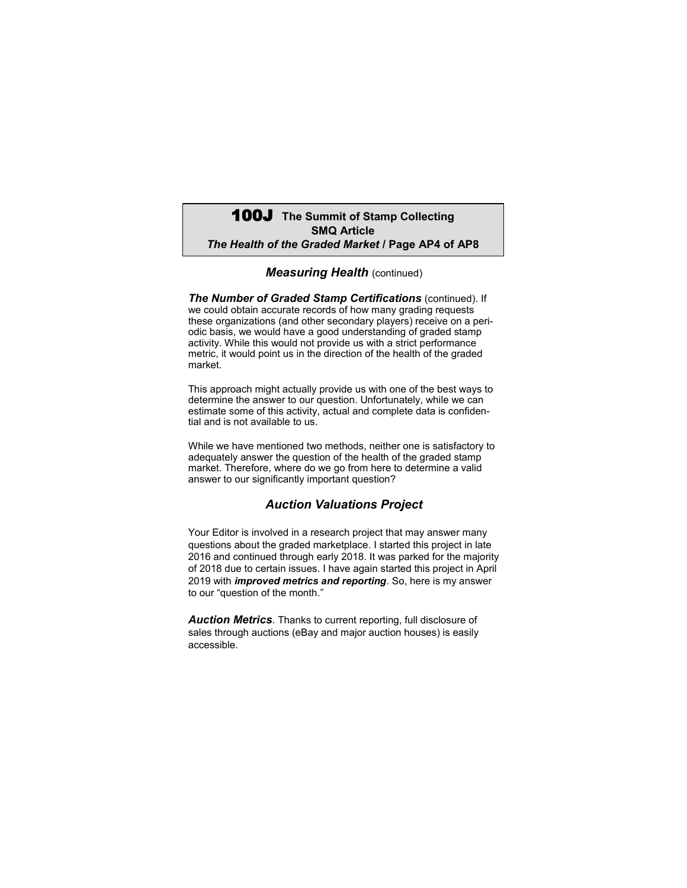# 100J **The Summit of Stamp Collecting SMQ Article** *The Health of the Graded Market* **/ Page AP4 of AP8**

#### *Measuring Health (continued)*

*The Number of Graded Stamp Certifications* (continued). If we could obtain accurate records of how many grading requests these organizations (and other secondary players) receive on a periodic basis, we would have a good understanding of graded stamp activity. While this would not provide us with a strict performance metric, it would point us in the direction of the health of the graded market.

This approach might actually provide us with one of the best ways to determine the answer to our question. Unfortunately, while we can estimate some of this activity, actual and complete data is confidential and is not available to us.

While we have mentioned two methods, neither one is satisfactory to adequately answer the question of the health of the graded stamp market. Therefore, where do we go from here to determine a valid answer to our significantly important question?

### *Auction Valuations Project*

Your Editor is involved in a research project that may answer many questions about the graded marketplace. I started this project in late 2016 and continued through early 2018. It was parked for the majority of 2018 due to certain issues. I have again started this project in April 2019 with *improved metrics and reporting*. So, here is my answer to our "question of the month."

*Auction Metrics*. Thanks to current reporting, full disclosure of sales through auctions (eBay and major auction houses) is easily accessible.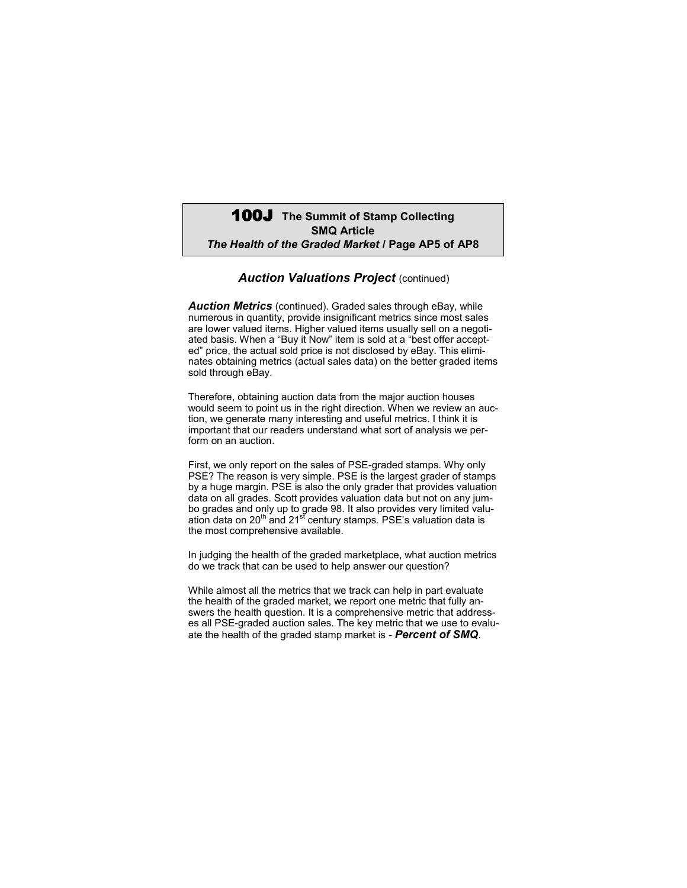## 100J **The Summit of Stamp Collecting SMQ Article** *The Health of the Graded Market* **/ Page AP5 of AP8**

#### *Auction Valuations Project (continued)*

*Auction Metrics* (continued). Graded sales through eBay, while numerous in quantity, provide insignificant metrics since most sales are lower valued items. Higher valued items usually sell on a negotiated basis. When a "Buy it Now" item is sold at a "best offer accepted" price, the actual sold price is not disclosed by eBay. This eliminates obtaining metrics (actual sales data) on the better graded items sold through eBay.

Therefore, obtaining auction data from the major auction houses would seem to point us in the right direction. When we review an auction, we generate many interesting and useful metrics. I think it is important that our readers understand what sort of analysis we perform on an auction.

First, we only report on the sales of PSE-graded stamps. Why only PSE? The reason is very simple. PSE is the largest grader of stamps by a huge margin. PSE is also the only grader that provides valuation data on all grades. Scott provides valuation data but not on any jumbo grades and only up to grade 98. It also provides very limited valuation data on 20<sup>th</sup> and 21<sup>st</sup> century stamps. PSE's valuation data is the most comprehensive available.

In judging the health of the graded marketplace, what auction metrics do we track that can be used to help answer our question?

While almost all the metrics that we track can help in part evaluate the health of the graded market, we report one metric that fully answers the health question. It is a comprehensive metric that addresses all PSE-graded auction sales. The key metric that we use to evaluate the health of the graded stamp market is - *Percent of SMQ*.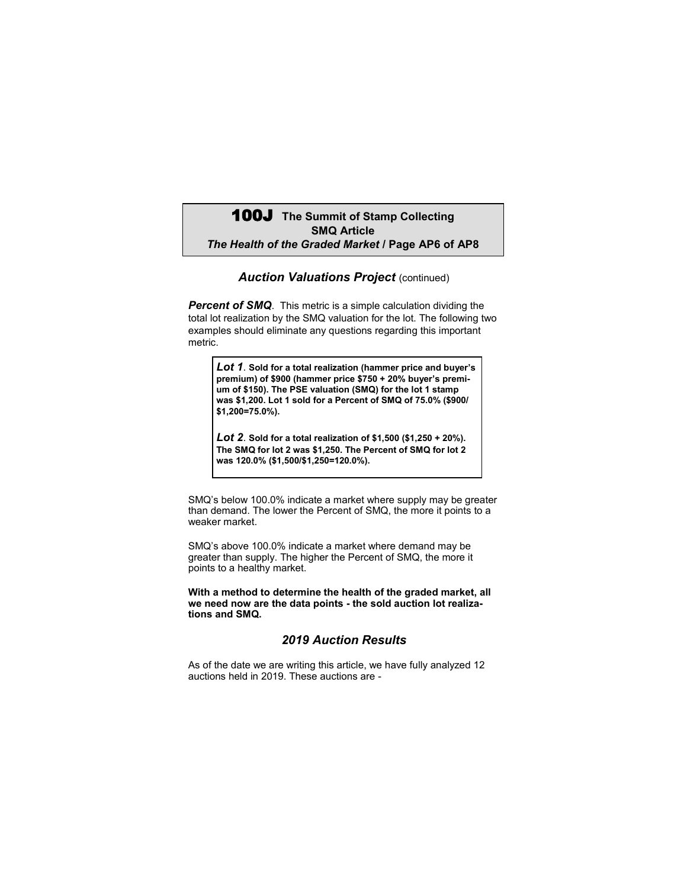# 100J **The Summit of Stamp Collecting SMQ Article** *The Health of the Graded Market* **/ Page AP6 of AP8**

### *Auction Valuations Project (continued)*

**Percent of SMQ**. This metric is a simple calculation dividing the total lot realization by the SMQ valuation for the lot. The following two examples should eliminate any questions regarding this important metric.

*Lot 1*. **Sold for a total realization (hammer price and buyer's premium) of \$900 (hammer price \$750 + 20% buyer's premium of \$150). The PSE valuation (SMQ) for the lot 1 stamp was \$1,200. Lot 1 sold for a Percent of SMQ of 75.0% (\$900/ \$1,200=75.0%).**

*Lot 2*. **Sold for a total realization of \$1,500 (\$1,250 + 20%). The SMQ for lot 2 was \$1,250. The Percent of SMQ for lot 2 was 120.0% (\$1,500/\$1,250=120.0%).**

SMQ's below 100.0% indicate a market where supply may be greater than demand. The lower the Percent of SMQ, the more it points to a weaker market.

SMQ's above 100.0% indicate a market where demand may be greater than supply. The higher the Percent of SMQ, the more it points to a healthy market.

**With a method to determine the health of the graded market, all we need now are the data points - the sold auction lot realizations and SMQ.**

### *2019 Auction Results*

As of the date we are writing this article, we have fully analyzed 12 auctions held in 2019. These auctions are -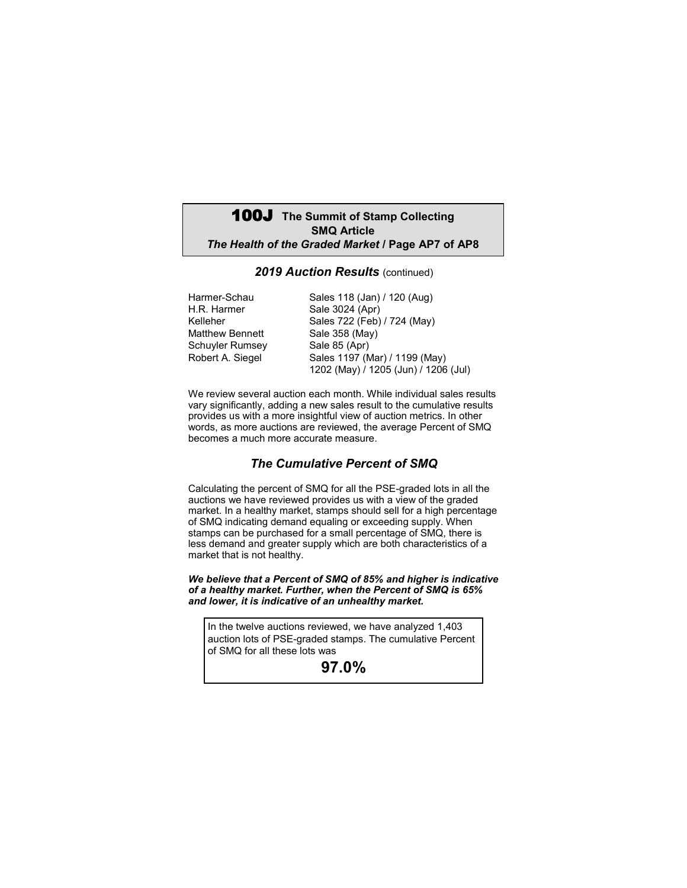# 100J **The Summit of Stamp Collecting SMQ Article** *The Health of the Graded Market* **/ Page AP7 of AP8**

### 2019 Auction Results (continued)

| Harmer-Schau           | Sales 118 (Jan) / 120 (Aug)          |
|------------------------|--------------------------------------|
| H.R. Harmer            | Sale 3024 (Apr)                      |
| Kelleher               | Sales 722 (Feb) / 724 (May)          |
| <b>Matthew Bennett</b> | Sale 358 (May)                       |
| Schuyler Rumsey        | Sale 85 (Apr)                        |
| Robert A. Siegel       | Sales 1197 (Mar) / 1199 (May)        |
|                        | 1202 (May) / 1205 (Jun) / 1206 (Jul) |

We review several auction each month. While individual sales results vary significantly, adding a new sales result to the cumulative results provides us with a more insightful view of auction metrics. In other words, as more auctions are reviewed, the average Percent of SMQ becomes a much more accurate measure.

### *The Cumulative Percent of SMQ*

Calculating the percent of SMQ for all the PSE-graded lots in all the auctions we have reviewed provides us with a view of the graded market. In a healthy market, stamps should sell for a high percentage of SMQ indicating demand equaling or exceeding supply. When stamps can be purchased for a small percentage of SMQ, there is less demand and greater supply which are both characteristics of a market that is not healthy.

*We believe that a Percent of SMQ of 85% and higher is indicative of a healthy market. Further, when the Percent of SMQ is 65% and lower, it is indicative of an unhealthy market.*

In the twelve auctions reviewed, we have analyzed 1,403 auction lots of PSE-graded stamps. The cumulative Percent of SMQ for all these lots was

**97.0%**